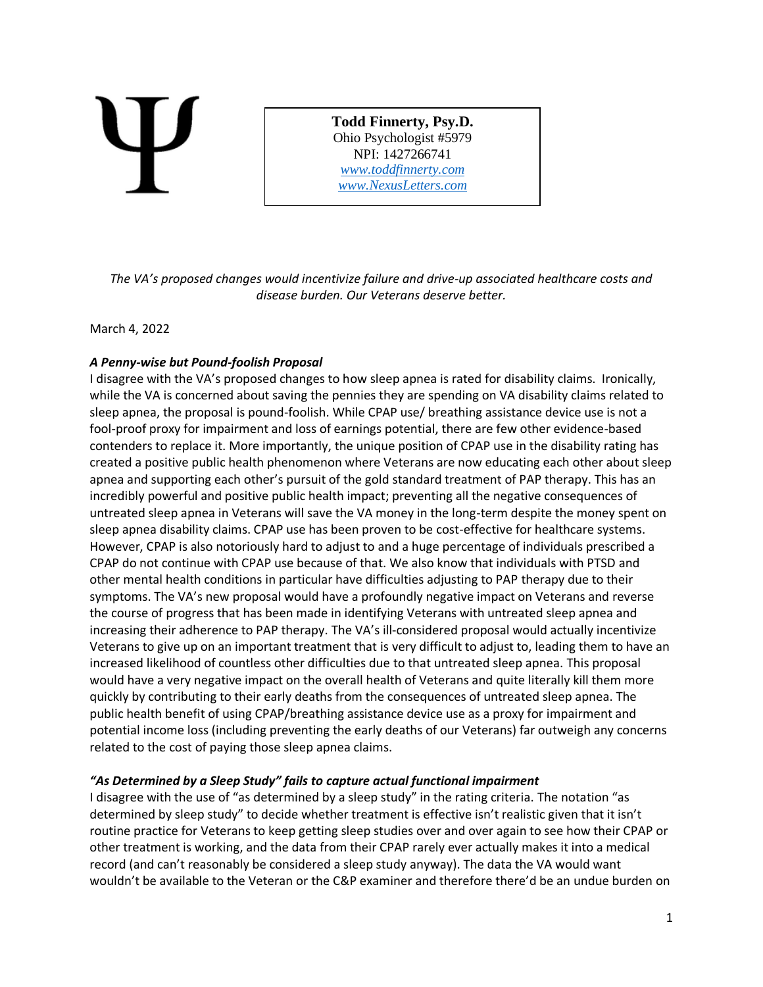**Todd Finnerty, Psy.D.** Ohio Psychologist #5979 NPI: 1427266741 *[www.toddfinnerty.com](http://www.toddfinnerty.com/) [www.NexusLetters.com](http://www.nexusletters.com/)*

*The VA's proposed changes would incentivize failure and drive-up associated healthcare costs and disease burden. Our Veterans deserve better.*

## March 4, 2022

# *A Penny-wise but Pound-foolish Proposal*

I disagree with the VA's proposed changes to how sleep apnea is rated for disability claims. Ironically, while the VA is concerned about saving the pennies they are spending on VA disability claims related to sleep apnea, the proposal is pound-foolish. While CPAP use/ breathing assistance device use is not a fool-proof proxy for impairment and loss of earnings potential, there are few other evidence-based contenders to replace it. More importantly, the unique position of CPAP use in the disability rating has created a positive public health phenomenon where Veterans are now educating each other about sleep apnea and supporting each other's pursuit of the gold standard treatment of PAP therapy. This has an incredibly powerful and positive public health impact; preventing all the negative consequences of untreated sleep apnea in Veterans will save the VA money in the long-term despite the money spent on sleep apnea disability claims. CPAP use has been proven to be cost-effective for healthcare systems. However, CPAP is also notoriously hard to adjust to and a huge percentage of individuals prescribed a CPAP do not continue with CPAP use because of that. We also know that individuals with PTSD and other mental health conditions in particular have difficulties adjusting to PAP therapy due to their symptoms. The VA's new proposal would have a profoundly negative impact on Veterans and reverse the course of progress that has been made in identifying Veterans with untreated sleep apnea and increasing their adherence to PAP therapy. The VA's ill-considered proposal would actually incentivize Veterans to give up on an important treatment that is very difficult to adjust to, leading them to have an increased likelihood of countless other difficulties due to that untreated sleep apnea. This proposal would have a very negative impact on the overall health of Veterans and quite literally kill them more quickly by contributing to their early deaths from the consequences of untreated sleep apnea. The public health benefit of using CPAP/breathing assistance device use as a proxy for impairment and potential income loss (including preventing the early deaths of our Veterans) far outweigh any concerns related to the cost of paying those sleep apnea claims.

### *"As Determined by a Sleep Study" fails to capture actual functional impairment*

I disagree with the use of "as determined by a sleep study" in the rating criteria. The notation "as determined by sleep study" to decide whether treatment is effective isn't realistic given that it isn't routine practice for Veterans to keep getting sleep studies over and over again to see how their CPAP or other treatment is working, and the data from their CPAP rarely ever actually makes it into a medical record (and can't reasonably be considered a sleep study anyway). The data the VA would want wouldn't be available to the Veteran or the C&P examiner and therefore there'd be an undue burden on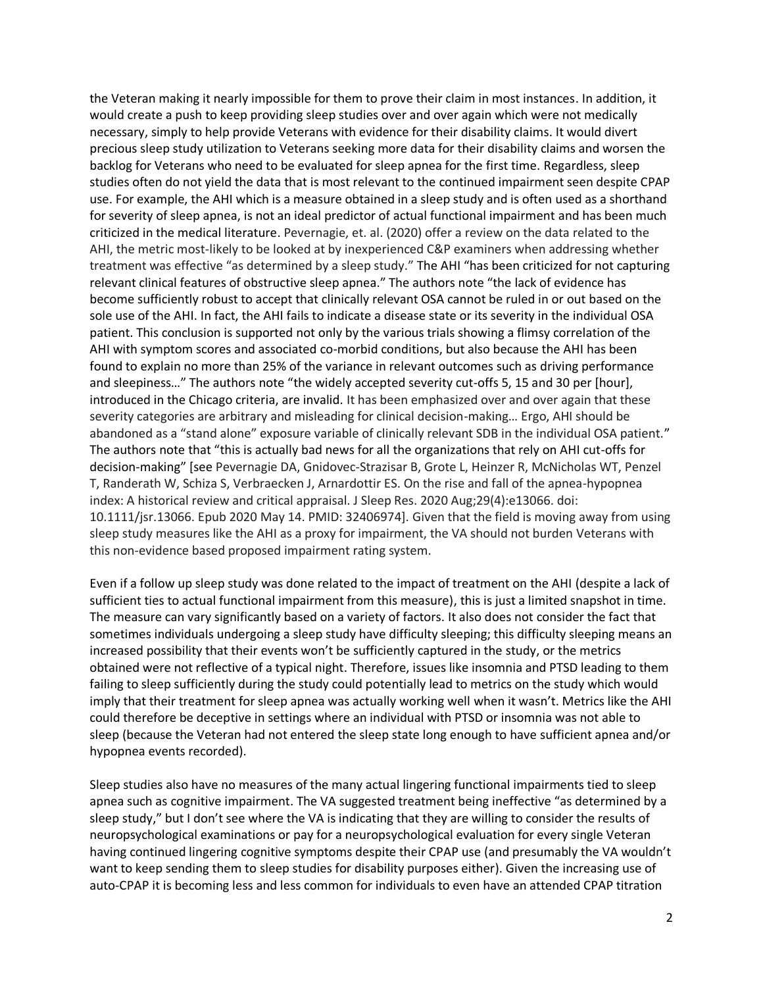the Veteran making it nearly impossible for them to prove their claim in most instances. In addition, it would create a push to keep providing sleep studies over and over again which were not medically necessary, simply to help provide Veterans with evidence for their disability claims. It would divert precious sleep study utilization to Veterans seeking more data for their disability claims and worsen the backlog for Veterans who need to be evaluated for sleep apnea for the first time. Regardless, sleep studies often do not yield the data that is most relevant to the continued impairment seen despite CPAP use. For example, the AHI which is a measure obtained in a sleep study and is often used as a shorthand for severity of sleep apnea, is not an ideal predictor of actual functional impairment and has been much criticized in the medical literature. Pevernagie, et. al. (2020) offer a review on the data related to the AHI, the metric most-likely to be looked at by inexperienced C&P examiners when addressing whether treatment was effective "as determined by a sleep study." The AHI "has been criticized for not capturing relevant clinical features of obstructive sleep apnea." The authors note "the lack of evidence has become sufficiently robust to accept that clinically relevant OSA cannot be ruled in or out based on the sole use of the AHI. In fact, the AHI fails to indicate a disease state or its severity in the individual OSA patient. This conclusion is supported not only by the various trials showing a flimsy correlation of the AHI with symptom scores and associated co-morbid conditions, but also because the AHI has been found to explain no more than 25% of the variance in relevant outcomes such as driving performance and sleepiness…" The authors note "the widely accepted severity cut-offs 5, 15 and 30 per [hour], introduced in the Chicago criteria, are invalid. It has been emphasized over and over again that these severity categories are arbitrary and misleading for clinical decision-making… Ergo, AHI should be abandoned as a "stand alone" exposure variable of clinically relevant SDB in the individual OSA patient." The authors note that "this is actually bad news for all the organizations that rely on AHI cut-offs for decision-making" [see Pevernagie DA, Gnidovec-Strazisar B, Grote L, Heinzer R, McNicholas WT, Penzel T, Randerath W, Schiza S, Verbraecken J, Arnardottir ES. On the rise and fall of the apnea-hypopnea index: A historical review and critical appraisal. J Sleep Res. 2020 Aug;29(4):e13066. doi: 10.1111/jsr.13066. Epub 2020 May 14. PMID: 32406974]. Given that the field is moving away from using sleep study measures like the AHI as a proxy for impairment, the VA should not burden Veterans with this non-evidence based proposed impairment rating system.

Even if a follow up sleep study was done related to the impact of treatment on the AHI (despite a lack of sufficient ties to actual functional impairment from this measure), this is just a limited snapshot in time. The measure can vary significantly based on a variety of factors. It also does not consider the fact that sometimes individuals undergoing a sleep study have difficulty sleeping; this difficulty sleeping means an increased possibility that their events won't be sufficiently captured in the study, or the metrics obtained were not reflective of a typical night. Therefore, issues like insomnia and PTSD leading to them failing to sleep sufficiently during the study could potentially lead to metrics on the study which would imply that their treatment for sleep apnea was actually working well when it wasn't. Metrics like the AHI could therefore be deceptive in settings where an individual with PTSD or insomnia was not able to sleep (because the Veteran had not entered the sleep state long enough to have sufficient apnea and/or hypopnea events recorded).

Sleep studies also have no measures of the many actual lingering functional impairments tied to sleep apnea such as cognitive impairment. The VA suggested treatment being ineffective "as determined by a sleep study," but I don't see where the VA is indicating that they are willing to consider the results of neuropsychological examinations or pay for a neuropsychological evaluation for every single Veteran having continued lingering cognitive symptoms despite their CPAP use (and presumably the VA wouldn't want to keep sending them to sleep studies for disability purposes either). Given the increasing use of auto-CPAP it is becoming less and less common for individuals to even have an attended CPAP titration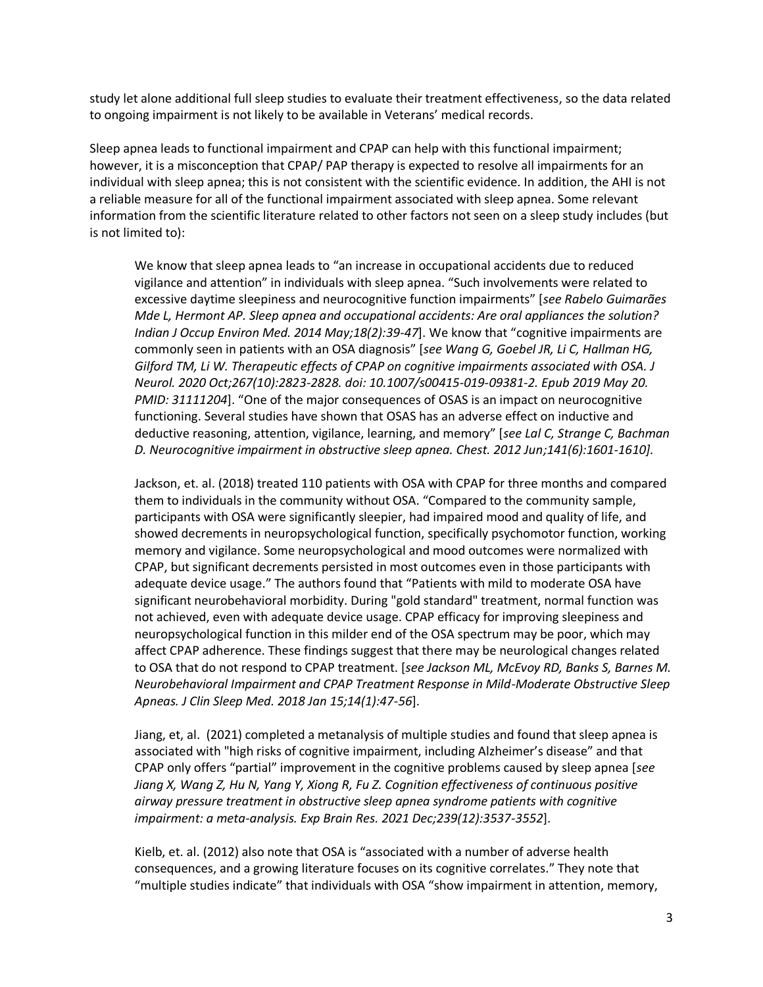study let alone additional full sleep studies to evaluate their treatment effectiveness, so the data related to ongoing impairment is not likely to be available in Veterans' medical records.

Sleep apnea leads to functional impairment and CPAP can help with this functional impairment; however, it is a misconception that CPAP/ PAP therapy is expected to resolve all impairments for an individual with sleep apnea; this is not consistent with the scientific evidence. In addition, the AHI is not a reliable measure for all of the functional impairment associated with sleep apnea. Some relevant information from the scientific literature related to other factors not seen on a sleep study includes (but is not limited to):

We know that sleep apnea leads to "an increase in occupational accidents due to reduced vigilance and attention" in individuals with sleep apnea. "Such involvements were related to excessive daytime sleepiness and neurocognitive function impairments" [*see Rabelo Guimarães Mde L, Hermont AP. Sleep apnea and occupational accidents: Are oral appliances the solution? Indian J Occup Environ Med. 2014 May;18(2):39-47*]. We know that "cognitive impairments are commonly seen in patients with an OSA diagnosis" [*see Wang G, Goebel JR, Li C, Hallman HG, Gilford TM, Li W. Therapeutic effects of CPAP on cognitive impairments associated with OSA. J Neurol. 2020 Oct;267(10):2823-2828. doi: 10.1007/s00415-019-09381-2. Epub 2019 May 20. PMID: 31111204*]. "One of the major consequences of OSAS is an impact on neurocognitive functioning. Several studies have shown that OSAS has an adverse effect on inductive and deductive reasoning, attention, vigilance, learning, and memory" [*see Lal C, Strange C, Bachman D. Neurocognitive impairment in obstructive sleep apnea. Chest. 2012 Jun;141(6):1601-1610].*

Jackson, et. al. (2018) treated 110 patients with OSA with CPAP for three months and compared them to individuals in the community without OSA. "Compared to the community sample, participants with OSA were significantly sleepier, had impaired mood and quality of life, and showed decrements in neuropsychological function, specifically psychomotor function, working memory and vigilance. Some neuropsychological and mood outcomes were normalized with CPAP, but significant decrements persisted in most outcomes even in those participants with adequate device usage." The authors found that "Patients with mild to moderate OSA have significant neurobehavioral morbidity. During "gold standard" treatment, normal function was not achieved, even with adequate device usage. CPAP efficacy for improving sleepiness and neuropsychological function in this milder end of the OSA spectrum may be poor, which may affect CPAP adherence. These findings suggest that there may be neurological changes related to OSA that do not respond to CPAP treatment. [*see Jackson ML, McEvoy RD, Banks S, Barnes M. Neurobehavioral Impairment and CPAP Treatment Response in Mild-Moderate Obstructive Sleep Apneas. J Clin Sleep Med. 2018 Jan 15;14(1):47-56*].

Jiang, et, al. (2021) completed a metanalysis of multiple studies and found that sleep apnea is associated with "high risks of cognitive impairment, including Alzheimer's disease" and that CPAP only offers "partial" improvement in the cognitive problems caused by sleep apnea [*see Jiang X, Wang Z, Hu N, Yang Y, Xiong R, Fu Z. Cognition effectiveness of continuous positive airway pressure treatment in obstructive sleep apnea syndrome patients with cognitive impairment: a meta-analysis. Exp Brain Res. 2021 Dec;239(12):3537-3552*].

Kielb, et. al. (2012) also note that OSA is "associated with a number of adverse health consequences, and a growing literature focuses on its cognitive correlates." They note that "multiple studies indicate" that individuals with OSA "show impairment in attention, memory,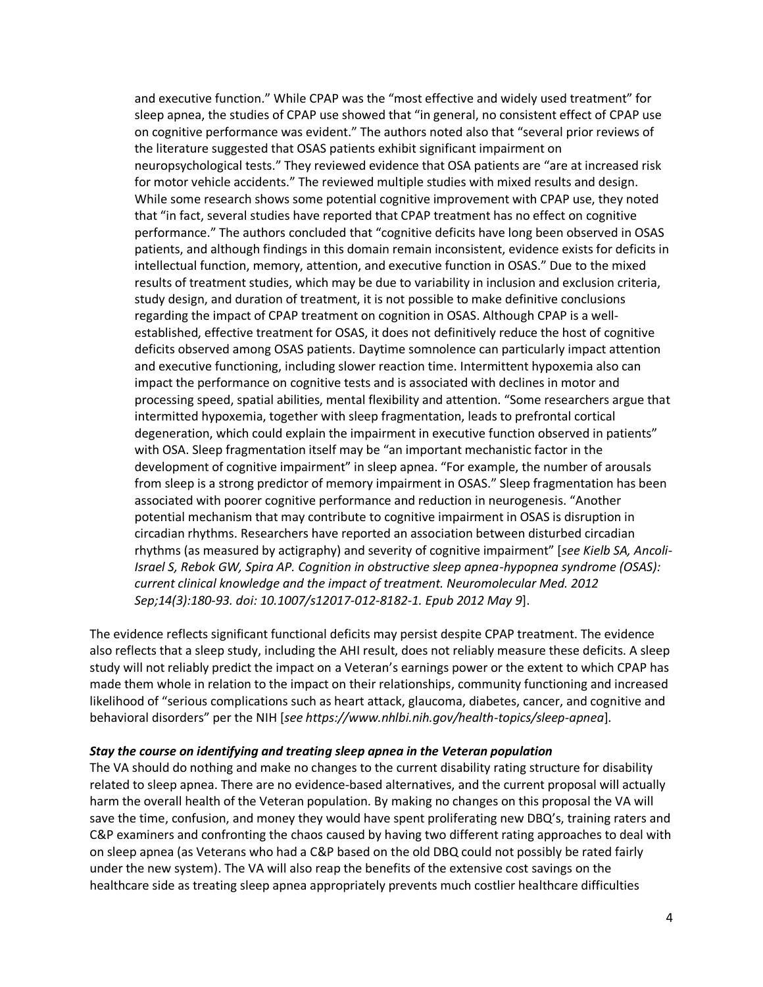and executive function." While CPAP was the "most effective and widely used treatment" for sleep apnea, the studies of CPAP use showed that "in general, no consistent effect of CPAP use on cognitive performance was evident." The authors noted also that "several prior reviews of the literature suggested that OSAS patients exhibit significant impairment on neuropsychological tests." They reviewed evidence that OSA patients are "are at increased risk for motor vehicle accidents." The reviewed multiple studies with mixed results and design. While some research shows some potential cognitive improvement with CPAP use, they noted that "in fact, several studies have reported that CPAP treatment has no effect on cognitive performance." The authors concluded that "cognitive deficits have long been observed in OSAS patients, and although findings in this domain remain inconsistent, evidence exists for deficits in intellectual function, memory, attention, and executive function in OSAS." Due to the mixed results of treatment studies, which may be due to variability in inclusion and exclusion criteria, study design, and duration of treatment, it is not possible to make definitive conclusions regarding the impact of CPAP treatment on cognition in OSAS. Although CPAP is a wellestablished, effective treatment for OSAS, it does not definitively reduce the host of cognitive deficits observed among OSAS patients. Daytime somnolence can particularly impact attention and executive functioning, including slower reaction time. Intermittent hypoxemia also can impact the performance on cognitive tests and is associated with declines in motor and processing speed, spatial abilities, mental flexibility and attention. "Some researchers argue that intermitted hypoxemia, together with sleep fragmentation, leads to prefrontal cortical degeneration, which could explain the impairment in executive function observed in patients" with OSA. Sleep fragmentation itself may be "an important mechanistic factor in the development of cognitive impairment" in sleep apnea. "For example, the number of arousals from sleep is a strong predictor of memory impairment in OSAS." Sleep fragmentation has been associated with poorer cognitive performance and reduction in neurogenesis. "Another potential mechanism that may contribute to cognitive impairment in OSAS is disruption in circadian rhythms. Researchers have reported an association between disturbed circadian rhythms (as measured by actigraphy) and severity of cognitive impairment" [*see Kielb SA, Ancoli-Israel S, Rebok GW, Spira AP. Cognition in obstructive sleep apnea-hypopnea syndrome (OSAS): current clinical knowledge and the impact of treatment. Neuromolecular Med. 2012 Sep;14(3):180-93. doi: 10.1007/s12017-012-8182-1. Epub 2012 May 9*].

The evidence reflects significant functional deficits may persist despite CPAP treatment. The evidence also reflects that a sleep study, including the AHI result, does not reliably measure these deficits. A sleep study will not reliably predict the impact on a Veteran's earnings power or the extent to which CPAP has made them whole in relation to the impact on their relationships, community functioning and increased likelihood of "serious complications such as heart attack, glaucoma, diabetes, cancer, and cognitive and behavioral disorders" per the NIH [*see https://www.nhlbi.nih.gov/health-topics/sleep-apnea*].

#### *Stay the course on identifying and treating sleep apnea in the Veteran population*

The VA should do nothing and make no changes to the current disability rating structure for disability related to sleep apnea. There are no evidence-based alternatives, and the current proposal will actually harm the overall health of the Veteran population. By making no changes on this proposal the VA will save the time, confusion, and money they would have spent proliferating new DBQ's, training raters and C&P examiners and confronting the chaos caused by having two different rating approaches to deal with on sleep apnea (as Veterans who had a C&P based on the old DBQ could not possibly be rated fairly under the new system). The VA will also reap the benefits of the extensive cost savings on the healthcare side as treating sleep apnea appropriately prevents much costlier healthcare difficulties